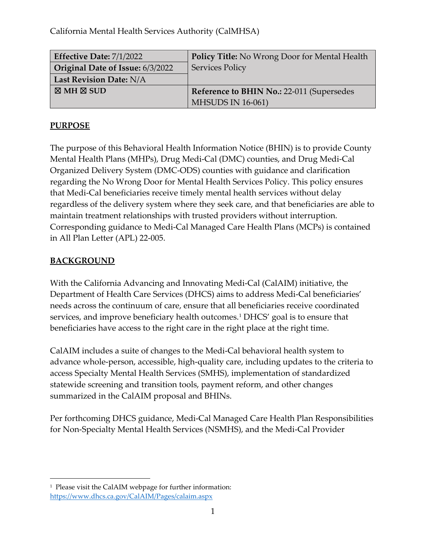California Mental Health Services Authority (CalMHSA)

| Effective Date: 7/1/2022         | <b>Policy Title:</b> No Wrong Door for Mental Health |
|----------------------------------|------------------------------------------------------|
| Original Date of Issue: 6/3/2022 | <b>Services Policy</b>                               |
| Last Revision Date: N/A          |                                                      |
| $\boxtimes$ MH $\boxtimes$ SUD   | Reference to BHIN No.: 22-011 (Supersedes            |
|                                  | <b>MHSUDS IN 16-061)</b>                             |

#### **PURPOSE**

The purpose of this Behavioral Health Information Notice (BHIN) is to provide County Mental Health Plans (MHPs), Drug Medi-Cal (DMC) counties, and Drug Medi-Cal Organized Delivery System (DMC-ODS) counties with guidance and clarification regarding the No Wrong Door for Mental Health Services Policy. This policy ensures that Medi-Cal beneficiaries receive timely mental health services without delay regardless of the delivery system where they seek care, and that beneficiaries are able to maintain treatment relationships with trusted providers without interruption. Corresponding guidance to Medi-Cal Managed Care Health Plans (MCPs) is contained in All Plan Letter (APL) 22-005.

## **BACKGROUND**

With the California Advancing and Innovating Medi-Cal (CalAIM) initiative, the Department of Health Care Services (DHCS) aims to address Medi-Cal beneficiaries' needs across the continuum of care, ensure that all beneficiaries receive coordinated services, and improve beneficiary health outcomes.<sup>[1](#page-0-0)</sup> DHCS' goal is to ensure that beneficiaries have access to the right care in the right place at the right time.

CalAIM includes a suite of changes to the Medi-Cal behavioral health system to advance whole-person, accessible, high-quality care, including updates to the criteria to access Specialty Mental Health Services (SMHS), implementation of standardized statewide screening and transition tools, payment reform, and other changes summarized in the CalAIM proposal and BHINs.

Per forthcoming DHCS guidance, Medi-Cal Managed Care Health Plan Responsibilities for Non-Specialty Mental Health Services (NSMHS), and the Medi-Cal Provider

<span id="page-0-0"></span><sup>&</sup>lt;sup>1</sup> Please visit the CalAIM webpage for further information: <https://www.dhcs.ca.gov/CalAIM/Pages/calaim.aspx>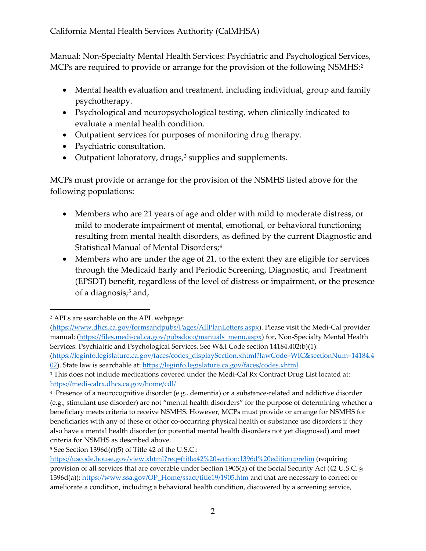Manual: Non-Specialty Mental Health Services: Psychiatric and Psychological Services, MCPs are required to provide or arrange for the provision of the following NSMHS:<sup>[2](#page-1-0)</sup>

- Mental health evaluation and treatment, including individual, group and family psychotherapy.
- Psychological and neuropsychological testing, when clinically indicated to evaluate a mental health condition.
- Outpatient services for purposes of monitoring drug therapy.
- Psychiatric consultation.
- Outpatient laboratory, drugs,<sup>[3](#page-1-1)</sup> supplies and supplements.

MCPs must provide or arrange for the provision of the NSMHS listed above for the following populations:

- Members who are 21 years of age and older with mild to moderate distress, or mild to moderate impairment of mental, emotional, or behavioral functioning resulting from mental health disorders, as defined by the current Diagnostic and Statistical Manual of Mental Disorders;<sup>[4](#page-1-2)</sup>
- Members who are under the age of 21, to the extent they are eligible for services through the Medicaid Early and Periodic Screening, Diagnostic, and Treatment (EPSDT) benefit, regardless of the level of distress or impairment, or the presence of a diagnosis; $5$  and,

<span id="page-1-0"></span><sup>2</sup> APLs are searchable on the APL webpage:

[<sup>\(</sup>https://www.dhcs.ca.gov/formsandpubs/Pages/AllPlanLetters.aspx\)](https://www.dhcs.ca.gov/formsandpubs/Pages/AllPlanLetters.aspx). Please visit the Medi-Cal provider manual: [\(https://files.medi-cal.ca.gov/pubsdoco/manuals\\_menu.aspx\)](https://files.medi-cal.ca.gov/pubsdoco/manuals_menu.aspx) for, Non-Specialty Mental Health Services: Psychiatric and Psychological Services. See W&I Code section 14184.402(b)(1):

[<sup>\(</sup>https://leginfo.legislature.ca.gov/faces/codes\\_displaySection.xhtml?lawCode=WIC&sectionNum=14184.4](https://leginfo.legislature.ca.gov/faces/codes_displaySection.xhtml?lawCode=WIC§ionNum=14184.402) [02\)](https://leginfo.legislature.ca.gov/faces/codes_displaySection.xhtml?lawCode=WIC§ionNum=14184.402). State law is searchable at:<https://leginfo.legislature.ca.gov/faces/codes.xhtml>

<span id="page-1-1"></span><sup>&</sup>lt;sup>3</sup> This does not include medications covered under the Medi-Cal Rx Contract Drug List located at: <https://medi-calrx.dhcs.ca.gov/home/cdl/>

<span id="page-1-2"></span><sup>4</sup> Presence of a neurocognitive disorder (e.g., dementia) or a substance-related and addictive disorder (e.g., stimulant use disorder) are not "mental health disorders" for the purpose of determining whether a beneficiary meets criteria to receive NSMHS. However, MCPs must provide or arrange for NSMHS for beneficiaries with any of these or other co-occurring physical health or substance use disorders if they also have a mental health disorder (or potential mental health disorders not yet diagnosed) and meet criteria for NSMHS as described above.

<span id="page-1-3"></span> $5$  See Section 1396d(r)(5) of Title 42 of the U.S.C.:

[https://uscode.house.gov/view.xhtml?req=\(title:42%20section:1396d%20edition:prelim](https://uscode.house.gov/view.xhtml?req=(title:42%20section:1396d%20edition:prelim) (requiring provision of all services that are coverable under Section 1905(a) of the Social Security Act (42 U.S.C. § 1396d(a)): [https://www.ssa.gov/OP\\_Home/ssact/title19/1905.htm](https://www.ssa.gov/OP_Home/ssact/title19/1905.htm) and that are necessary to correct or ameliorate a condition, including a behavioral health condition, discovered by a screening service,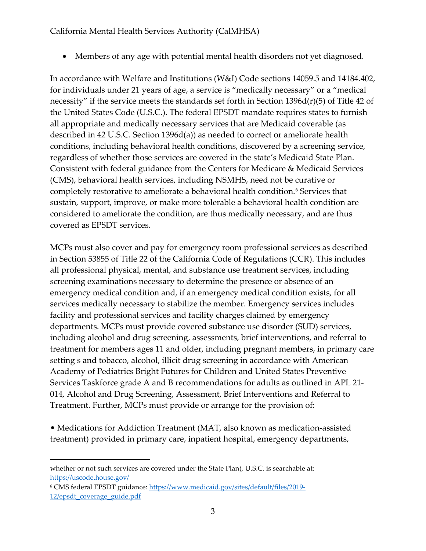#### California Mental Health Services Authority (CalMHSA)

• Members of any age with potential mental health disorders not yet diagnosed.

In accordance with Welfare and Institutions (W&I) Code sections 14059.5 and 14184.402, for individuals under 21 years of age, a service is "medically necessary" or a "medical necessity" if the service meets the standards set forth in Section 1396d(r)(5) of Title 42 of the United States Code (U.S.C.). The federal EPSDT mandate requires states to furnish all appropriate and medically necessary services that are Medicaid coverable (as described in 42 U.S.C. Section 1396d(a)) as needed to correct or ameliorate health conditions, including behavioral health conditions, discovered by a screening service, regardless of whether those services are covered in the state's Medicaid State Plan. Consistent with federal guidance from the Centers for Medicare & Medicaid Services (CMS), behavioral health services, including NSMHS, need not be curative or completely restorative to ameliorate a behavioral health condition.<sup>[6](#page-2-0)</sup> Services that sustain, support, improve, or make more tolerable a behavioral health condition are considered to ameliorate the condition, are thus medically necessary, and are thus covered as EPSDT services.

MCPs must also cover and pay for emergency room professional services as described in Section 53855 of Title 22 of the California Code of Regulations (CCR). This includes all professional physical, mental, and substance use treatment services, including screening examinations necessary to determine the presence or absence of an emergency medical condition and, if an emergency medical condition exists, for all services medically necessary to stabilize the member. Emergency services includes facility and professional services and facility charges claimed by emergency departments. MCPs must provide covered substance use disorder (SUD) services, including alcohol and drug screening, assessments, brief interventions, and referral to treatment for members ages 11 and older, including pregnant members, in primary care setting s and tobacco, alcohol, illicit drug screening in accordance with American Academy of Pediatrics Bright Futures for Children and United States Preventive Services Taskforce grade A and B recommendations for adults as outlined in APL 21- 014, Alcohol and Drug Screening, Assessment, Brief Interventions and Referral to Treatment. Further, MCPs must provide or arrange for the provision of:

• Medications for Addiction Treatment (MAT, also known as medication-assisted treatment) provided in primary care, inpatient hospital, emergency departments,

<span id="page-2-0"></span><sup>6</sup> CMS federal EPSDT guidance[: https://www.medicaid.gov/sites/default/files/2019-](https://www.medicaid.gov/sites/default/files/2019-12/epsdt_coverage_guide.pdf) 12/epsdt coverage guide.pdf

whether or not such services are covered under the State Plan), U.S.C. is searchable at: <https://uscode.house.gov/>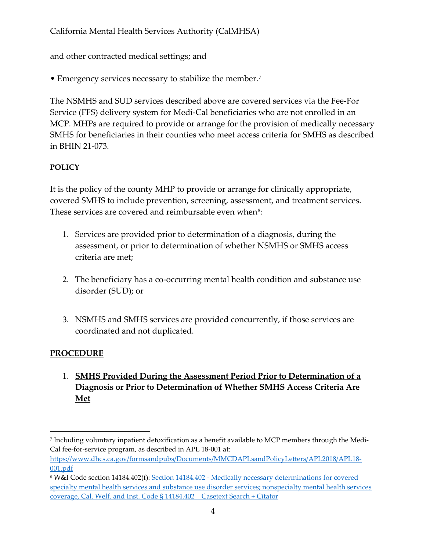California Mental Health Services Authority (CalMHSA)

and other contracted medical settings; and

• Emergency services necessary to stabilize the member.<sup>[7](#page-3-0)</sup>

The NSMHS and SUD services described above are covered services via the Fee-For Service (FFS) delivery system for Medi-Cal beneficiaries who are not enrolled in an MCP. MHPs are required to provide or arrange for the provision of medically necessary SMHS for beneficiaries in their counties who meet access criteria for SMHS as described in BHIN 21-073.

## **POLICY**

It is the policy of the county MHP to provide or arrange for clinically appropriate, covered SMHS to include prevention, screening, assessment, and treatment services. These services are covered and reimbursable even when<sup>[8](#page-3-1)</sup>:

- 1. Services are provided prior to determination of a diagnosis, during the assessment, or prior to determination of whether NSMHS or SMHS access criteria are met;
- 2. The beneficiary has a co-occurring mental health condition and substance use disorder (SUD); or
- 3. NSMHS and SMHS services are provided concurrently, if those services are coordinated and not duplicated.

## **PROCEDURE**

1. **SMHS Provided During the Assessment Period Prior to Determination of a Diagnosis or Prior to Determination of Whether SMHS Access Criteria Are Met**

<span id="page-3-0"></span><sup>7</sup> Including voluntary inpatient detoxification as a benefit available to MCP members through the Medi-Cal fee-for-service program, as described in APL 18-001 at:

[https://www.dhcs.ca.gov/formsandpubs/Documents/MMCDAPLsandPolicyLetters/APL2018/APL18-](https://www.dhcs.ca.gov/formsandpubs/Documents/MMCDAPLsandPolicyLetters/APL2018/APL18-001.pdf) [001.pdf](https://www.dhcs.ca.gov/formsandpubs/Documents/MMCDAPLsandPolicyLetters/APL2018/APL18-001.pdf) 

<span id="page-3-1"></span><sup>8</sup> W&I Code section 14184.402(f): [Section 14184.402 - Medically necessary determinations for covered](https://casetext.com/statute/california-codes/california-welfare-and-institutions-code/division-9-public-social-services/part-3-aid-and-medical-assistance/chapter-7-basic-health-care/article-551-california-advancing-and-innovating-medi-cal-act/section-14184402-medically-necessary-determinations-for-covered-specialty-mental-health-services-and-substance-use-disorder-services-nonspecialty-mental-health-services-coverage)  [specialty mental health services and substance use disorder services; nonspecialty mental health services](https://casetext.com/statute/california-codes/california-welfare-and-institutions-code/division-9-public-social-services/part-3-aid-and-medical-assistance/chapter-7-basic-health-care/article-551-california-advancing-and-innovating-medi-cal-act/section-14184402-medically-necessary-determinations-for-covered-specialty-mental-health-services-and-substance-use-disorder-services-nonspecialty-mental-health-services-coverage)  [coverage, Cal. Welf. and Inst. Code § 14184.402 | Casetext Search + Citator](https://casetext.com/statute/california-codes/california-welfare-and-institutions-code/division-9-public-social-services/part-3-aid-and-medical-assistance/chapter-7-basic-health-care/article-551-california-advancing-and-innovating-medi-cal-act/section-14184402-medically-necessary-determinations-for-covered-specialty-mental-health-services-and-substance-use-disorder-services-nonspecialty-mental-health-services-coverage)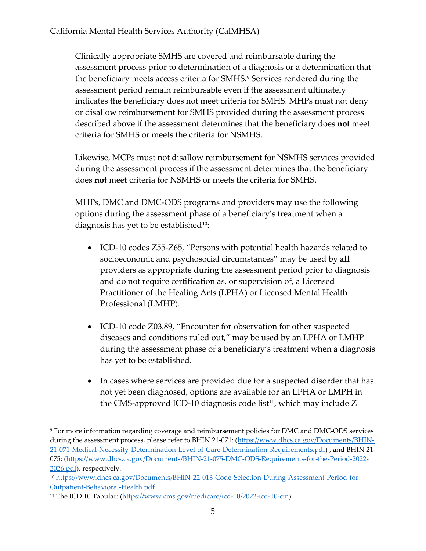Clinically appropriate SMHS are covered and reimbursable during the assessment process prior to determination of a diagnosis or a determination that the beneficiary meets access criteria for SMHS.<sup>[9](#page-4-0)</sup> Services rendered during the assessment period remain reimbursable even if the assessment ultimately indicates the beneficiary does not meet criteria for SMHS. MHPs must not deny or disallow reimbursement for SMHS provided during the assessment process described above if the assessment determines that the beneficiary does **not** meet criteria for SMHS or meets the criteria for NSMHS.

Likewise, MCPs must not disallow reimbursement for NSMHS services provided during the assessment process if the assessment determines that the beneficiary does **not** meet criteria for NSMHS or meets the criteria for SMHS.

MHPs, DMC and DMC-ODS programs and providers may use the following options during the assessment phase of a beneficiary's treatment when a diagnosis has yet to be established<sup>10</sup>:

- ICD-10 codes Z55-Z65, "Persons with potential health hazards related to socioeconomic and psychosocial circumstances" may be used by **all**  providers as appropriate during the assessment period prior to diagnosis and do not require certification as, or supervision of, a Licensed Practitioner of the Healing Arts (LPHA) or Licensed Mental Health Professional (LMHP).
- ICD-10 code Z03.89, "Encounter for observation for other suspected diseases and conditions ruled out," may be used by an LPHA or LMHP during the assessment phase of a beneficiary's treatment when a diagnosis has yet to be established.
- In cases where services are provided due for a suspected disorder that has not yet been diagnosed, options are available for an LPHA or LMPH in the CMS-approved ICD-10 diagnosis code list<sup>[11](#page-4-2)</sup>, which may include  $Z$

<span id="page-4-0"></span><sup>9</sup> For more information regarding coverage and reimbursement policies for DMC and DMC-ODS services during the assessment process, please refer to BHIN 21-071: [\(https://www.dhcs.ca.gov/Documents/BHIN-](https://www.dhcs.ca.gov/Documents/BHIN-21-071-Medical-Necessity-Determination-Level-of-Care-Determination-Requirements.pdf)[21-071-Medical-Necessity-Determination-Level-of-Care-Determination-Requirements.pdf\)](https://www.dhcs.ca.gov/Documents/BHIN-21-071-Medical-Necessity-Determination-Level-of-Care-Determination-Requirements.pdf) , and BHIN 21- 075: [\(https://www.dhcs.ca.gov/Documents/BHIN-21-075-DMC-ODS-Requirements-for-the-Period-2022-](https://www.dhcs.ca.gov/Documents/BHIN-21-075-DMC-ODS-Requirements-for-the-Period-2022-2026.pdf) [2026.pdf\)](https://www.dhcs.ca.gov/Documents/BHIN-21-075-DMC-ODS-Requirements-for-the-Period-2022-2026.pdf), respectively.

<span id="page-4-1"></span><sup>10</sup> [https://www.dhcs.ca.gov/Documents/BHIN-22-013-Code-Selection-During-Assessment-Period-for-](https://www.dhcs.ca.gov/Documents/BHIN-22-013-Code-Selection-During-Assessment-Period-for-Outpatient-Behavioral-Health.pdf)[Outpatient-Behavioral-Health.pdf](https://www.dhcs.ca.gov/Documents/BHIN-22-013-Code-Selection-During-Assessment-Period-for-Outpatient-Behavioral-Health.pdf) 

<span id="page-4-2"></span><sup>11</sup> The ICD 10 Tabular: [\(https://www.cms.gov/medicare/icd-10/2022-icd-10-cm\)](https://www.cms.gov/medicare/icd-10/2022-icd-10-cm)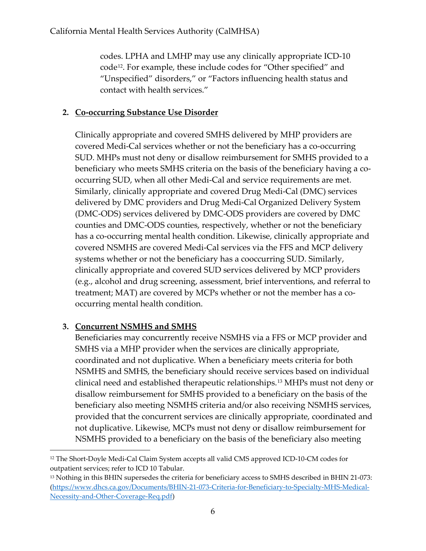codes. LPHA and LMHP may use any clinically appropriate ICD-10 code[12](#page-5-0). For example, these include codes for "Other specified" and "Unspecified" disorders," or "Factors influencing health status and contact with health services."

#### **2. Co-occurring Substance Use Disorder**

Clinically appropriate and covered SMHS delivered by MHP providers are covered Medi-Cal services whether or not the beneficiary has a co-occurring SUD. MHPs must not deny or disallow reimbursement for SMHS provided to a beneficiary who meets SMHS criteria on the basis of the beneficiary having a cooccurring SUD, when all other Medi-Cal and service requirements are met. Similarly, clinically appropriate and covered Drug Medi-Cal (DMC) services delivered by DMC providers and Drug Medi-Cal Organized Delivery System (DMC-ODS) services delivered by DMC-ODS providers are covered by DMC counties and DMC-ODS counties, respectively, whether or not the beneficiary has a co-occurring mental health condition. Likewise, clinically appropriate and covered NSMHS are covered Medi-Cal services via the FFS and MCP delivery systems whether or not the beneficiary has a cooccurring SUD. Similarly, clinically appropriate and covered SUD services delivered by MCP providers (e.g., alcohol and drug screening, assessment, brief interventions, and referral to treatment; MAT) are covered by MCPs whether or not the member has a cooccurring mental health condition.

## **3. Concurrent NSMHS and SMHS**

Beneficiaries may concurrently receive NSMHS via a FFS or MCP provider and SMHS via a MHP provider when the services are clinically appropriate, coordinated and not duplicative. When a beneficiary meets criteria for both NSMHS and SMHS, the beneficiary should receive services based on individual clinical need and established therapeutic relationships.[13](#page-5-1) MHPs must not deny or disallow reimbursement for SMHS provided to a beneficiary on the basis of the beneficiary also meeting NSMHS criteria and/or also receiving NSMHS services, provided that the concurrent services are clinically appropriate, coordinated and not duplicative. Likewise, MCPs must not deny or disallow reimbursement for NSMHS provided to a beneficiary on the basis of the beneficiary also meeting

<span id="page-5-0"></span><sup>12</sup> The Short-Doyle Medi-Cal Claim System accepts all valid CMS approved ICD-10-CM codes for outpatient services; refer to ICD 10 Tabular.

<span id="page-5-1"></span><sup>13</sup> Nothing in this BHIN supersedes the criteria for beneficiary access to SMHS described in BHIN 21-073: [\(https://www.dhcs.ca.gov/Documents/BHIN-21-073-Criteria-for-Beneficiary-to-Specialty-MHS-Medical-](https://www.dhcs.ca.gov/Documents/BHIN-21-073-Criteria-for-Beneficiary-to-Specialty-MHS-Medical-Necessity-and-Other-Coverage-Req.pdf)[Necessity-and-Other-Coverage-Req.pdf\)](https://www.dhcs.ca.gov/Documents/BHIN-21-073-Criteria-for-Beneficiary-to-Specialty-MHS-Medical-Necessity-and-Other-Coverage-Req.pdf)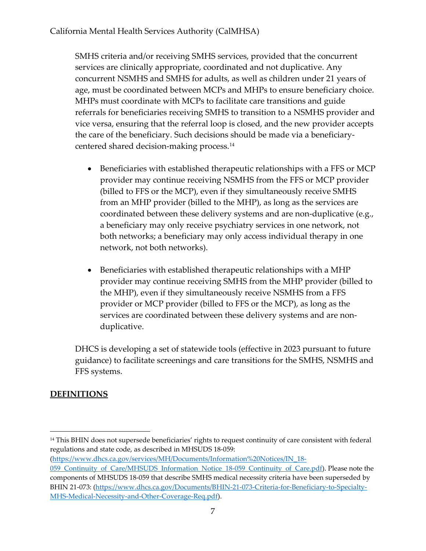SMHS criteria and/or receiving SMHS services, provided that the concurrent services are clinically appropriate, coordinated and not duplicative. Any concurrent NSMHS and SMHS for adults, as well as children under 21 years of age, must be coordinated between MCPs and MHPs to ensure beneficiary choice. MHPs must coordinate with MCPs to facilitate care transitions and guide referrals for beneficiaries receiving SMHS to transition to a NSMHS provider and vice versa, ensuring that the referral loop is closed, and the new provider accepts the care of the beneficiary. Such decisions should be made via a beneficiarycentered shared decision-making process.[14](#page-6-0)

- Beneficiaries with established therapeutic relationships with a FFS or MCP provider may continue receiving NSMHS from the FFS or MCP provider (billed to FFS or the MCP), even if they simultaneously receive SMHS from an MHP provider (billed to the MHP), as long as the services are coordinated between these delivery systems and are non-duplicative (e.g., a beneficiary may only receive psychiatry services in one network, not both networks; a beneficiary may only access individual therapy in one network, not both networks).
- Beneficiaries with established therapeutic relationships with a MHP provider may continue receiving SMHS from the MHP provider (billed to the MHP), even if they simultaneously receive NSMHS from a FFS provider or MCP provider (billed to FFS or the MCP), as long as the services are coordinated between these delivery systems and are nonduplicative.

DHCS is developing a set of statewide tools (effective in 2023 pursuant to future guidance) to facilitate screenings and care transitions for the SMHS, NSMHS and FFS systems.

# **DEFINITIONS**

[\(https://www.dhcs.ca.gov/services/MH/Documents/Information%20Notices/IN\\_18-](https://www.dhcs.ca.gov/services/MH/Documents/Information%20Notices/IN_18-059_Continuity_of_Care/MHSUDS_Information_Notice_18-059_Continuity_of_Care.pdf)

<span id="page-6-0"></span><sup>&</sup>lt;sup>14</sup> This BHIN does not supersede beneficiaries' rights to request continuity of care consistent with federal regulations and state code, as described in MHSUDS 18-059:

[<sup>059</sup>\\_Continuity\\_of\\_Care/MHSUDS\\_Information\\_Notice\\_18-059\\_Continuity\\_of\\_Care.pdf\)](https://www.dhcs.ca.gov/services/MH/Documents/Information%20Notices/IN_18-059_Continuity_of_Care/MHSUDS_Information_Notice_18-059_Continuity_of_Care.pdf). Please note the components of MHSUDS 18-059 that describe SMHS medical necessity criteria have been superseded by BHIN 21-073: [\(https://www.dhcs.ca.gov/Documents/BHIN-21-073-Criteria-for-Beneficiary-to-Specialty-](https://www.dhcs.ca.gov/Documents/BHIN-21-073-Criteria-for-Beneficiary-to-Specialty-MHS-Medical-Necessity-and-Other-Coverage-Req.pdf)[MHS-Medical-Necessity-and-Other-Coverage-Req.pdf\)](https://www.dhcs.ca.gov/Documents/BHIN-21-073-Criteria-for-Beneficiary-to-Specialty-MHS-Medical-Necessity-and-Other-Coverage-Req.pdf).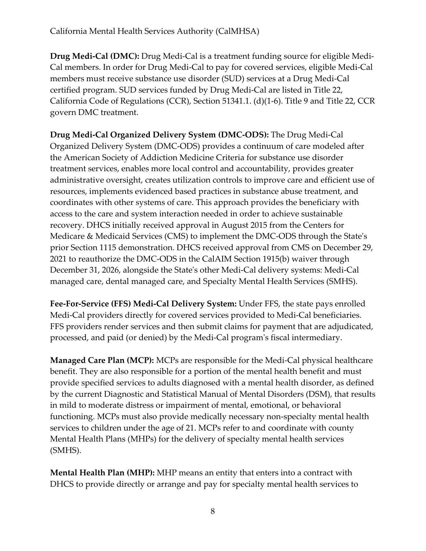**Drug Medi-Cal (DMC):** Drug Medi-Cal is a treatment funding source for eligible Medi-Cal members. In order for Drug Medi-Cal to pay for covered services, eligible Medi-Cal members must receive substance use disorder (SUD) services at a Drug Medi-Cal certified program. SUD services funded by Drug Medi-Cal are listed in Title 22, California Code of Regulations (CCR), Section 51341.1. (d)(1-6). Title 9 and Title 22, CCR govern DMC treatment.

**Drug Medi-Cal Organized Delivery System (DMC-ODS):** The Drug Medi-Cal Organized Delivery System (DMC-ODS) provides a continuum of care modeled after the American Society of Addiction Medicine Criteria for substance use disorder treatment services, enables more local control and accountability, provides greater administrative oversight, creates utilization controls to improve care and efficient use of resources, implements evidenced based practices in substance abuse treatment, and coordinates with other systems of care. This approach provides the beneficiary with access to the care and system interaction needed in order to achieve sustainable recovery. DHCS initially received approval in August 2015 from the Centers for Medicare & Medicaid Services (CMS) to implement the DMC-ODS through the State's prior Section 1115 demonstration. DHCS received approval from CMS on December 29, 2021 to reauthorize the DMC-ODS in the CalAIM Section 1915(b) waiver through December 31, 2026, alongside the State's other Medi-Cal delivery systems: Medi-Cal managed care, dental managed care, and Specialty Mental Health Services (SMHS).

**Fee-For-Service (FFS) Medi-Cal Delivery System:** Under FFS, the state pays enrolled Medi-Cal providers directly for covered services provided to Medi-Cal beneficiaries. FFS providers render services and then submit claims for payment that are adjudicated, processed, and paid (or denied) by the Medi-Cal program's fiscal intermediary.

**Managed Care Plan (MCP):** MCPs are responsible for the Medi-Cal physical healthcare benefit. They are also responsible for a portion of the mental health benefit and must provide specified services to adults diagnosed with a mental health disorder, as defined by the current Diagnostic and Statistical Manual of Mental Disorders (DSM), that results in mild to moderate distress or impairment of mental, emotional, or behavioral functioning. MCPs must also provide medically necessary non-specialty mental health services to children under the age of 21. MCPs refer to and coordinate with county Mental Health Plans (MHPs) for the delivery of specialty mental health services (SMHS).

**Mental Health Plan (MHP):** MHP means an entity that enters into a contract with DHCS to provide directly or arrange and pay for specialty mental health services to